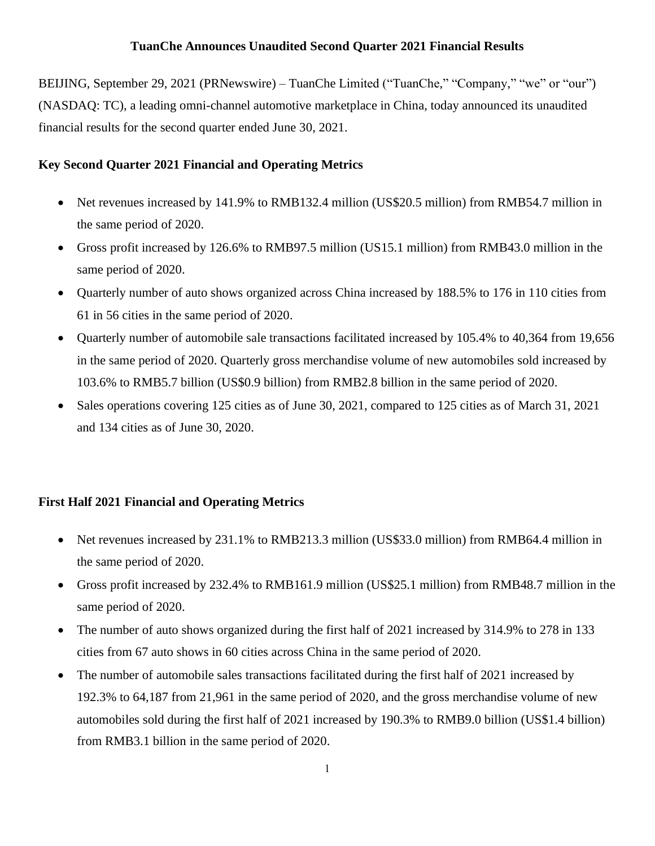## **TuanChe Announces Unaudited Second Quarter 2021 Financial Results**

BEIJING, September 29, 2021 (PRNewswire) – TuanChe Limited ("TuanChe," "Company," "we" or "our") (NASDAQ: TC), a leading omni-channel automotive marketplace in China, today announced its unaudited financial results for the second quarter ended June 30, 2021.

# **Key Second Quarter 2021 Financial and Operating Metrics**

- Net revenues increased by 141.9% to RMB132.4 million (US\$20.5 million) from RMB54.7 million in the same period of 2020.
- Gross profit increased by 126.6% to RMB97.5 million (US15.1 million) from RMB43.0 million in the same period of 2020.
- Quarterly number of auto shows organized across China increased by 188.5% to 176 in 110 cities from 61 in 56 cities in the same period of 2020.
- Quarterly number of automobile sale transactions facilitated increased by 105.4% to 40,364 from 19,656 in the same period of 2020. Quarterly gross merchandise volume of new automobiles sold increased by 103.6% to RMB5.7 billion (US\$0.9 billion) from RMB2.8 billion in the same period of 2020.
- Sales operations covering 125 cities as of June 30, 2021, compared to 125 cities as of March 31, 2021 and 134 cities as of June 30, 2020.

## **First Half 2021 Financial and Operating Metrics**

- Net revenues increased by 231.1% to RMB213.3 million (US\$33.0 million) from RMB64.4 million in the same period of 2020.
- Gross profit increased by 232.4% to RMB161.9 million (US\$25.1 million) from RMB48.7 million in the same period of 2020.
- The number of auto shows organized during the first half of 2021 increased by 314.9% to 278 in 133 cities from 67 auto shows in 60 cities across China in the same period of 2020.
- The number of automobile sales transactions facilitated during the first half of 2021 increased by 192.3% to 64,187 from 21,961 in the same period of 2020, and the gross merchandise volume of new automobiles sold during the first half of 2021 increased by 190.3% to RMB9.0 billion (US\$1.4 billion) from RMB3.1 billion in the same period of 2020.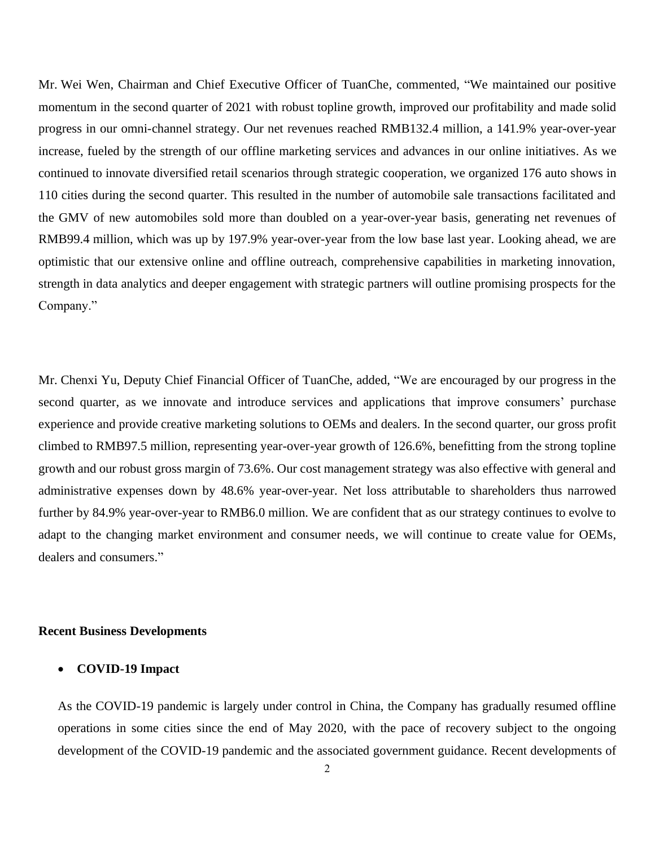Mr. Wei Wen, Chairman and Chief Executive Officer of TuanChe, commented, "We maintained our positive momentum in the second quarter of 2021 with robust topline growth, improved our profitability and made solid progress in our omni-channel strategy. Our net revenues reached RMB132.4 million, a 141.9% year-over-year increase, fueled by the strength of our offline marketing services and advances in our online initiatives. As we continued to innovate diversified retail scenarios through strategic cooperation, we organized 176 auto shows in 110 cities during the second quarter. This resulted in the number of automobile sale transactions facilitated and the GMV of new automobiles sold more than doubled on a year-over-year basis, generating net revenues of RMB99.4 million, which was up by 197.9% year-over-year from the low base last year. Looking ahead, we are optimistic that our extensive online and offline outreach, comprehensive capabilities in marketing innovation, strength in data analytics and deeper engagement with strategic partners will outline promising prospects for the Company."

Mr. Chenxi Yu, Deputy Chief Financial Officer of TuanChe, added, "We are encouraged by our progress in the second quarter, as we innovate and introduce services and applications that improve consumers' purchase experience and provide creative marketing solutions to OEMs and dealers. In the second quarter, our gross profit climbed to RMB97.5 million, representing year-over-year growth of 126.6%, benefitting from the strong topline growth and our robust gross margin of 73.6%. Our cost management strategy was also effective with general and administrative expenses down by 48.6% year-over-year. Net loss attributable to shareholders thus narrowed further by 84.9% year-over-year to RMB6.0 million. We are confident that as our strategy continues to evolve to adapt to the changing market environment and consumer needs, we will continue to create value for OEMs, dealers and consumers."

### **Recent Business Developments**

## • **COVID-19 Impact**

As the COVID-19 pandemic is largely under control in China, the Company has gradually resumed offline operations in some cities since the end of May 2020, with the pace of recovery subject to the ongoing development of the COVID-19 pandemic and the associated government guidance. Recent developments of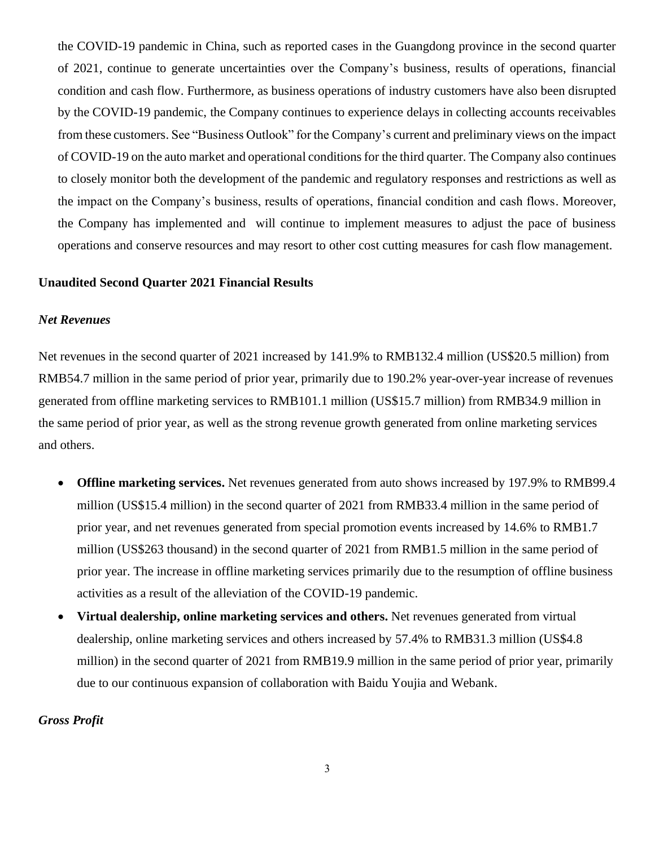the COVID-19 pandemic in China, such as reported cases in the Guangdong province in the second quarter of 2021, continue to generate uncertainties over the Company's business, results of operations, financial condition and cash flow. Furthermore, as business operations of industry customers have also been disrupted by the COVID-19 pandemic, the Company continues to experience delays in collecting accounts receivables from these customers. See "Business Outlook" for the Company's current and preliminary views on the impact of COVID-19 on the auto market and operational conditions for the third quarter. The Company also continues to closely monitor both the development of the pandemic and regulatory responses and restrictions as well as the impact on the Company's business, results of operations, financial condition and cash flows. Moreover, the Company has implemented and will continue to implement measures to adjust the pace of business operations and conserve resources and may resort to other cost cutting measures for cash flow management.

## **Unaudited Second Quarter 2021 Financial Results**

## *Net Revenues*

Net revenues in the second quarter of 2021 increased by 141.9% to RMB132.4 million (US\$20.5 million) from RMB54.7 million in the same period of prior year, primarily due to 190.2% year-over-year increase of revenues generated from offline marketing services to RMB101.1 million (US\$15.7 million) from RMB34.9 million in the same period of prior year, as well as the strong revenue growth generated from online marketing services and others.

- **Offline marketing services.** Net revenues generated from auto shows increased by 197.9% to RMB99.4 million (US\$15.4 million) in the second quarter of 2021 from RMB33.4 million in the same period of prior year, and net revenues generated from special promotion events increased by 14.6% to RMB1.7 million (US\$263 thousand) in the second quarter of 2021 from RMB1.5 million in the same period of prior year. The increase in offline marketing services primarily due to the resumption of offline business activities as a result of the alleviation of the COVID-19 pandemic.
- **Virtual dealership, online marketing services and others.** Net revenues generated from virtual dealership, online marketing services and others increased by 57.4% to RMB31.3 million (US\$4.8 million) in the second quarter of 2021 from RMB19.9 million in the same period of prior year, primarily due to our continuous expansion of collaboration with Baidu Youjia and Webank.

## *Gross Profit*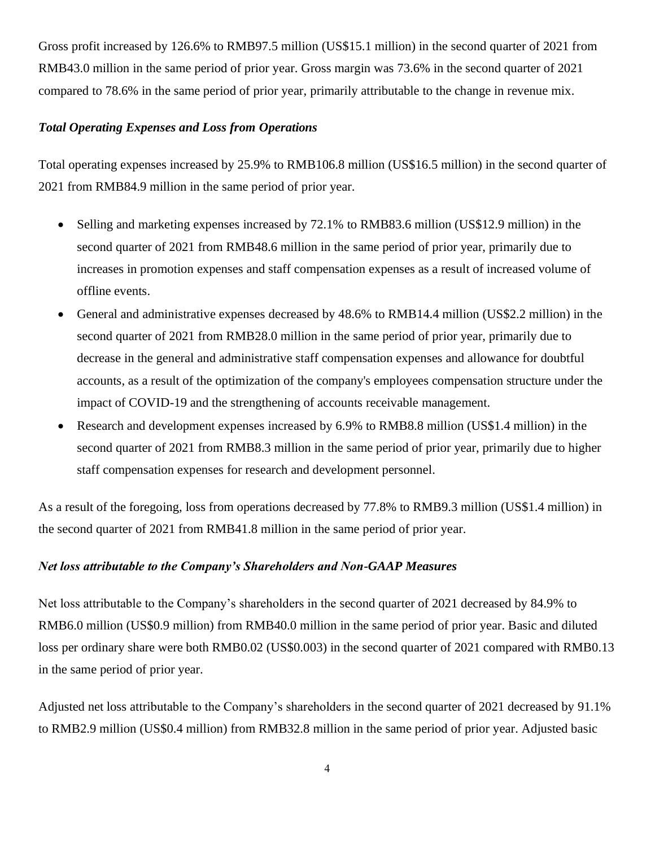Gross profit increased by 126.6% to RMB97.5 million (US\$15.1 million) in the second quarter of 2021 from RMB43.0 million in the same period of prior year. Gross margin was 73.6% in the second quarter of 2021 compared to 78.6% in the same period of prior year, primarily attributable to the change in revenue mix.

#### *Total Operating Expenses and Loss from Operations*

Total operating expenses increased by 25.9% to RMB106.8 million (US\$16.5 million) in the second quarter of 2021 from RMB84.9 million in the same period of prior year.

- Selling and marketing expenses increased by 72.1% to RMB83.6 million (US\$12.9 million) in the second quarter of 2021 from RMB48.6 million in the same period of prior year, primarily due to increases in promotion expenses and staff compensation expenses as a result of increased volume of offline events.
- General and administrative expenses decreased by 48.6% to RMB14.4 million (US\$2.2 million) in the second quarter of 2021 from RMB28.0 million in the same period of prior year, primarily due to decrease in the general and administrative staff compensation expenses and allowance for doubtful accounts, as a result of the optimization of the company's employees compensation structure under the impact of COVID-19 and the strengthening of accounts receivable management.
- Research and development expenses increased by 6.9% to RMB8.8 million (US\$1.4 million) in the second quarter of 2021 from RMB8.3 million in the same period of prior year, primarily due to higher staff compensation expenses for research and development personnel.

As a result of the foregoing, loss from operations decreased by 77.8% to RMB9.3 million (US\$1.4 million) in the second quarter of 2021 from RMB41.8 million in the same period of prior year.

## *Net loss attributable to the Company's Shareholders and Non-GAAP Measures*

Net loss attributable to the Company's shareholders in the second quarter of 2021 decreased by 84.9% to RMB6.0 million (US\$0.9 million) from RMB40.0 million in the same period of prior year. Basic and diluted loss per ordinary share were both RMB0.02 (US\$0.003) in the second quarter of 2021 compared with RMB0.13 in the same period of prior year.

Adjusted net loss attributable to the Company's shareholders in the second quarter of 2021 decreased by 91.1% to RMB2.9 million (US\$0.4 million) from RMB32.8 million in the same period of prior year. Adjusted basic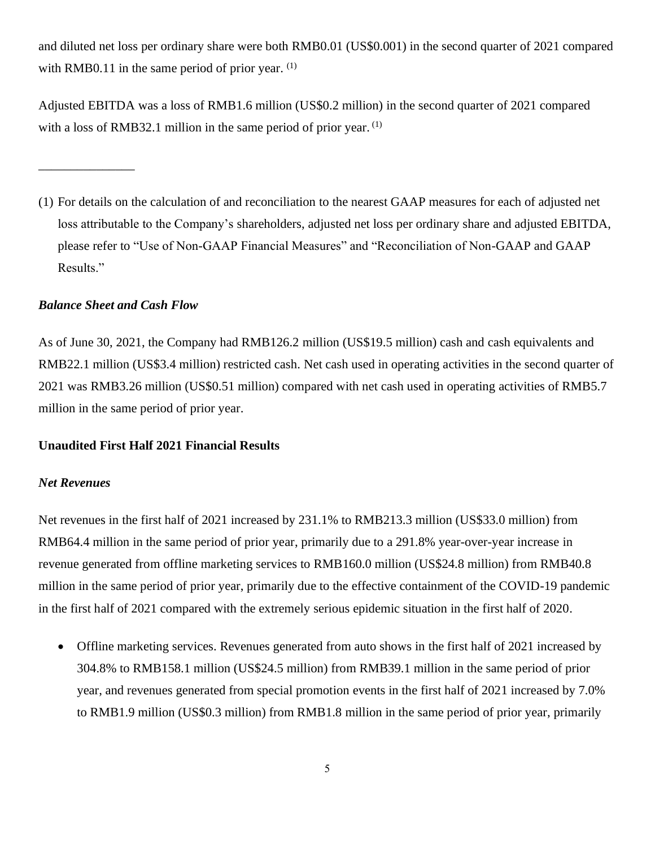and diluted net loss per ordinary share were both RMB0.01 (US\$0.001) in the second quarter of 2021 compared with RMB0.11 in the same period of prior year.  $(1)$ 

Adjusted EBITDA was a loss of RMB1.6 million (US\$0.2 million) in the second quarter of 2021 compared with a loss of RMB32.1 million in the same period of prior year.  $^{(1)}$ 

<span id="page-4-0"></span>(1) For details on the calculation of and reconciliation to the nearest GAAP measures for each of adjusted net loss attributable to the Company's shareholders, adjusted net loss per ordinary share and adjusted EBITDA, please refer to "Use of Non-GAAP Financial Measures" and "Reconciliation of Non-GAAP and GAAP Results."

#### *Balance Sheet and Cash Flow*

\_\_\_\_\_\_\_\_\_\_\_\_\_\_\_

As of June 30, 2021, the Company had RMB126.2 million (US\$19.5 million) cash and cash equivalents and RMB22.1 million (US\$3.4 million) restricted cash. Net cash used in operating activities in the second quarter of 2021 was RMB3.26 million (US\$0.51 million) compared with net cash used in operating activities of RMB5.7 million in the same period of prior year.

#### **Unaudited First Half 2021 Financial Results**

#### *Net Revenues*

Net revenues in the first half of 2021 increased by 231.1% to RMB213.3 million (US\$33.0 million) from RMB64.4 million in the same period of prior year, primarily due to a 291.8% year-over-year increase in revenue generated from offline marketing services to RMB160.0 million (US\$24.8 million) from RMB40.8 million in the same period of prior year, primarily due to the effective containment of the COVID-19 pandemic in the first half of 2021 compared with the extremely serious epidemic situation in the first half of 2020.

• Offline marketing services. Revenues generated from auto shows in the first half of 2021 increased by 304.8% to RMB158.1 million (US\$24.5 million) from RMB39.1 million in the same period of prior year, and revenues generated from special promotion events in the first half of 2021 increased by 7.0% to RMB1.9 million (US\$0.3 million) from RMB1.8 million in the same period of prior year, primarily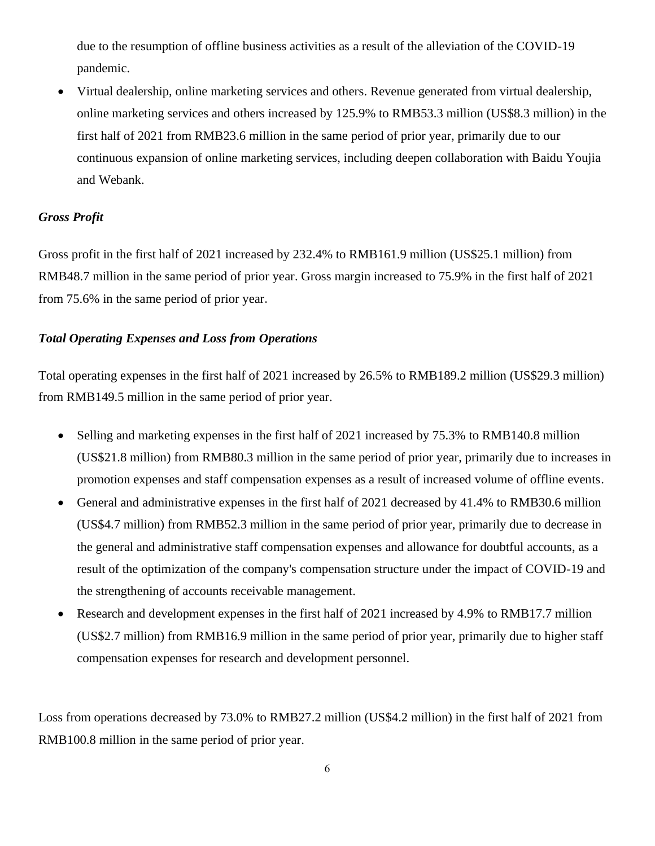due to the resumption of offline business activities as a result of the alleviation of the COVID-19 pandemic.

• Virtual dealership, online marketing services and others. Revenue generated from virtual dealership, online marketing services and others increased by 125.9% to RMB53.3 million (US\$8.3 million) in the first half of 2021 from RMB23.6 million in the same period of prior year, primarily due to our continuous expansion of online marketing services, including deepen collaboration with Baidu Youjia and Webank.

# *Gross Profit*

Gross profit in the first half of 2021 increased by 232.4% to RMB161.9 million (US\$25.1 million) from RMB48.7 million in the same period of prior year. Gross margin increased to 75.9% in the first half of 2021 from 75.6% in the same period of prior year.

# *Total Operating Expenses and Loss from Operations*

Total operating expenses in the first half of 2021 increased by 26.5% to RMB189.2 million (US\$29.3 million) from RMB149.5 million in the same period of prior year.

- Selling and marketing expenses in the first half of 2021 increased by 75.3% to RMB140.8 million (US\$21.8 million) from RMB80.3 million in the same period of prior year, primarily due to increases in promotion expenses and staff compensation expenses as a result of increased volume of offline events.
- General and administrative expenses in the first half of 2021 decreased by 41.4% to RMB30.6 million (US\$4.7 million) from RMB52.3 million in the same period of prior year, primarily due to decrease in the general and administrative staff compensation expenses and allowance for doubtful accounts, as a result of the optimization of the company's compensation structure under the impact of COVID-19 and the strengthening of accounts receivable management.
- Research and development expenses in the first half of 2021 increased by 4.9% to RMB17.7 million (US\$2.7 million) from RMB16.9 million in the same period of prior year, primarily due to higher staff compensation expenses for research and development personnel.

Loss from operations decreased by 73.0% to RMB27.2 million (US\$4.2 million) in the first half of 2021 from RMB100.8 million in the same period of prior year.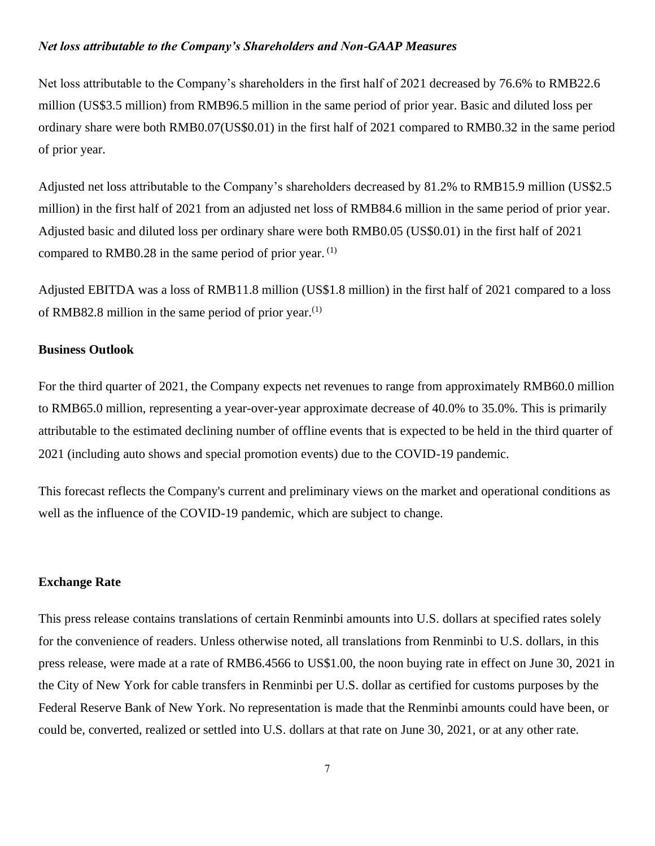### *Net loss attributable to the Company's Shareholders and Non-GAAP Measures*

Net loss attributable to the Company's shareholders in the first half of 2021 decreased by 76.6% to RMB22.6 million (US\$3.5 million) from RMB96.5 million in the same period of prior year. Basic and diluted loss per ordinary share were both RMB0.07(US\$0.01) in the first half of 2021 compared to RMB0.32 in the same period of prior year.

Adjusted net loss attributable to the Company's shareholders decreased by 81.2% to RMB15.9 million (US\$2.5 million) in the first half of 2021 from an adjusted net loss of RMB84.6 million in the same period of prior year. Adjusted basic and diluted loss per ordinary share were both RMB0.05 (US\$0.01) in the first half of 2021 compared to RMB0.28 in the same period of prior year.  $(1)$ 

Adjusted EBITDA was a loss of RMB11.8 million (US\$1.8 million) in the first half of 2021 compared to a loss of RMB82[.](#page-4-0)8 million in the same period of prior year. $(1)$ 

## **Business Outlook**

For the third quarter of 2021, the Company expects net revenues to range from approximately RMB60.0 million to RMB65.0 million, representing a year-over-year approximate decrease of 40.0% to 35.0%. This is primarily attributable to the estimated declining number of offline events that is expected to be held in the third quarter of 2021 (including auto shows and special promotion events) due to the COVID-19 pandemic.

This forecast reflects the Company's current and preliminary views on the market and operational conditions as well as the influence of the COVID-19 pandemic, which are subject to change.

#### **Exchange Rate**

This press release contains translations of certain Renminbi amounts into U.S. dollars at specified rates solely for the convenience of readers. Unless otherwise noted, all translations from Renminbi to U.S. dollars, in this press release, were made at a rate of RMB6.4566 to US\$1.00, the noon buying rate in effect on June 30, 2021 in the City of New York for cable transfers in Renminbi per U.S. dollar as certified for customs purposes by the Federal Reserve Bank of New York. No representation is made that the Renminbi amounts could have been, or could be, converted, realized or settled into U.S. dollars at that rate on June 30, 2021, or at any other rate.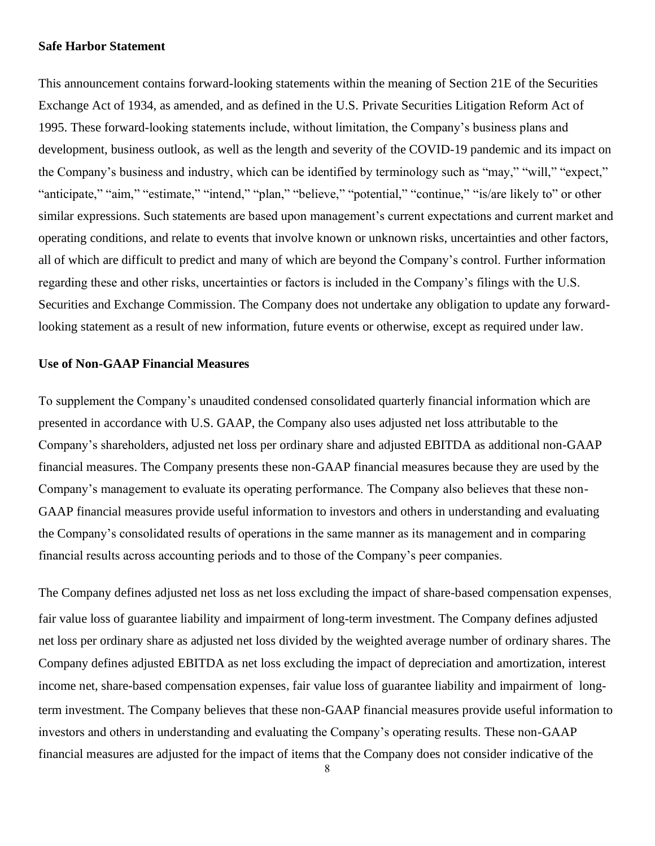#### **Safe Harbor Statement**

This announcement contains forward-looking statements within the meaning of Section 21E of the Securities Exchange Act of 1934, as amended, and as defined in the U.S. Private Securities Litigation Reform Act of 1995. These forward-looking statements include, without limitation, the Company's business plans and development, business outlook, as well as the length and severity of the COVID-19 pandemic and its impact on the Company's business and industry, which can be identified by terminology such as "may," "will," "expect," "anticipate," "aim," "estimate," "intend," "plan," "believe," "potential," "continue," "is/are likely to" or other similar expressions. Such statements are based upon management's current expectations and current market and operating conditions, and relate to events that involve known or unknown risks, uncertainties and other factors, all of which are difficult to predict and many of which are beyond the Company's control. Further information regarding these and other risks, uncertainties or factors is included in the Company's filings with the U.S. Securities and Exchange Commission. The Company does not undertake any obligation to update any forwardlooking statement as a result of new information, future events or otherwise, except as required under law.

#### **Use of Non-GAAP Financial Measures**

To supplement the Company's unaudited condensed consolidated quarterly financial information which are presented in accordance with U.S. GAAP, the Company also uses adjusted net loss attributable to the Company's shareholders, adjusted net loss per ordinary share and adjusted EBITDA as additional non-GAAP financial measures. The Company presents these non-GAAP financial measures because they are used by the Company's management to evaluate its operating performance. The Company also believes that these non-GAAP financial measures provide useful information to investors and others in understanding and evaluating the Company's consolidated results of operations in the same manner as its management and in comparing financial results across accounting periods and to those of the Company's peer companies.

The Company defines adjusted net loss as net loss excluding the impact of share-based compensation expenses, fair value loss of guarantee liability and impairment of long-term investment. The Company defines adjusted net loss per ordinary share as adjusted net loss divided by the weighted average number of ordinary shares. The Company defines adjusted EBITDA as net loss excluding the impact of depreciation and amortization, interest income net, share-based compensation expenses, fair value loss of guarantee liability and impairment of longterm investment. The Company believes that these non-GAAP financial measures provide useful information to investors and others in understanding and evaluating the Company's operating results. These non-GAAP financial measures are adjusted for the impact of items that the Company does not consider indicative of the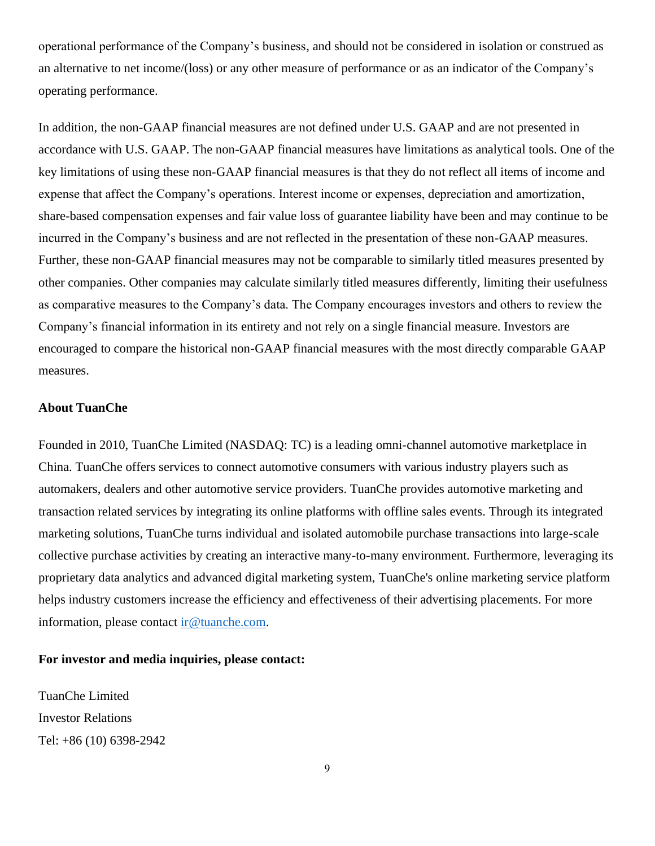operational performance of the Company's business, and should not be considered in isolation or construed as an alternative to net income/(loss) or any other measure of performance or as an indicator of the Company's operating performance.

In addition, the non-GAAP financial measures are not defined under U.S. GAAP and are not presented in accordance with U.S. GAAP. The non-GAAP financial measures have limitations as analytical tools. One of the key limitations of using these non-GAAP financial measures is that they do not reflect all items of income and expense that affect the Company's operations. Interest income or expenses, depreciation and amortization, share-based compensation expenses and fair value loss of guarantee liability have been and may continue to be incurred in the Company's business and are not reflected in the presentation of these non-GAAP measures. Further, these non-GAAP financial measures may not be comparable to similarly titled measures presented by other companies. Other companies may calculate similarly titled measures differently, limiting their usefulness as comparative measures to the Company's data. The Company encourages investors and others to review the Company's financial information in its entirety and not rely on a single financial measure. Investors are encouraged to compare the historical non-GAAP financial measures with the most directly comparable GAAP measures.

## **About TuanChe**

Founded in 2010, TuanChe Limited (NASDAQ: TC) is a leading omni-channel automotive marketplace in China. TuanChe offers services to connect automotive consumers with various industry players such as automakers, dealers and other automotive service providers. TuanChe provides automotive marketing and transaction related services by integrating its online platforms with offline sales events. Through its integrated marketing solutions, TuanChe turns individual and isolated automobile purchase transactions into large-scale collective purchase activities by creating an interactive many-to-many environment. Furthermore, leveraging its proprietary data analytics and advanced digital marketing system, TuanChe's online marketing service platform helps industry customers increase the efficiency and effectiveness of their advertising placements. For more information, please contact [ir@tuanche.com.](mailto:ir@tuanche.com)

## **For investor and media inquiries, please contact:**

TuanChe Limited Investor Relations Tel: +86 (10) 6398-2942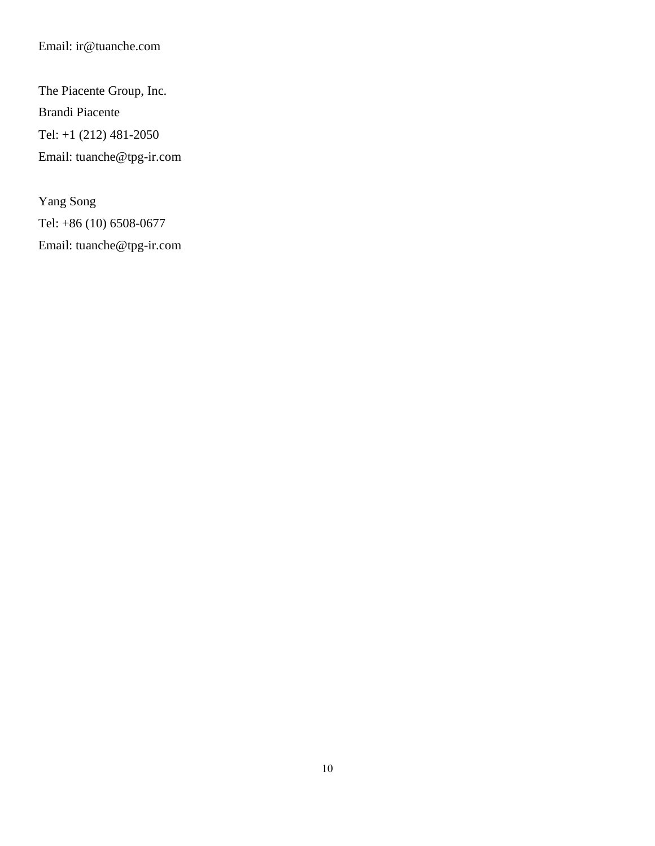Email: [ir@tuanche.com](mailto:ir@tuanche.com)

The Piacente Group, Inc. Brandi Piacente Tel: +1 (212) 481-2050 Email: tuanche@tpg-ir.com

Yang Song Tel: +86 (10) 6508-0677 Email: [tuanche@tpg-ir.com](mailto:tuanche@tpg-ir.com)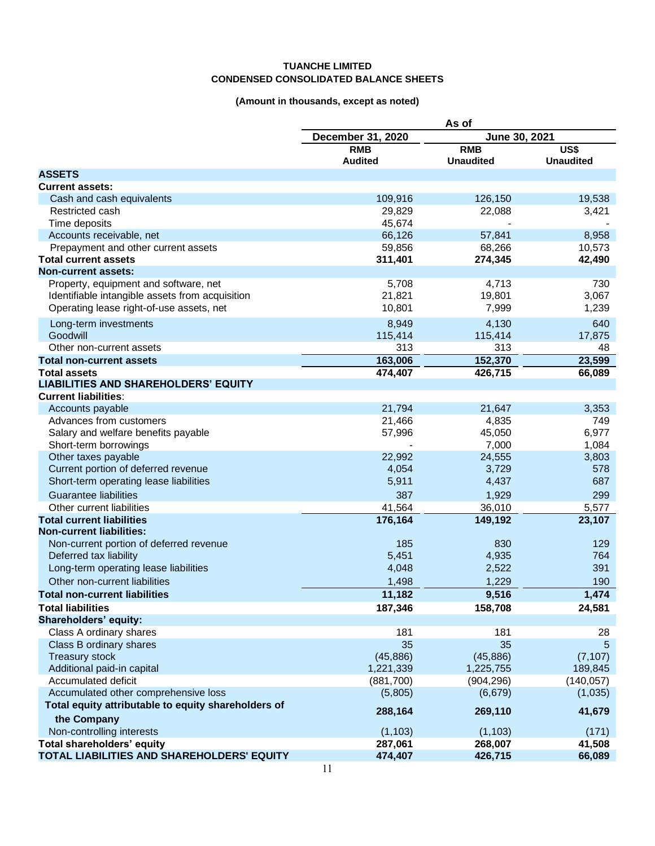#### **TUANCHE LIMITED CONDENSED CONSOLIDATED BALANCE SHEETS**

# **(Amount in thousands, except as noted)**

|                                                                    | As of             |                   |                  |
|--------------------------------------------------------------------|-------------------|-------------------|------------------|
|                                                                    | December 31, 2020 | June 30, 2021     |                  |
|                                                                    | <b>RMB</b>        | <b>RMB</b>        | US\$             |
|                                                                    | <b>Audited</b>    | <b>Unaudited</b>  | <b>Unaudited</b> |
| <b>ASSETS</b>                                                      |                   |                   |                  |
| <b>Current assets:</b>                                             |                   |                   |                  |
| Cash and cash equivalents                                          | 109,916           | 126,150           | 19,538           |
| Restricted cash                                                    | 29,829            | 22,088            | 3,421            |
| Time deposits                                                      | 45,674            |                   |                  |
| Accounts receivable, net<br>Prepayment and other current assets    | 66,126            | 57,841            | 8,958            |
| <b>Total current assets</b>                                        | 59,856<br>311,401 | 68,266<br>274,345 | 10,573<br>42,490 |
| <b>Non-current assets:</b>                                         |                   |                   |                  |
| Property, equipment and software, net                              | 5,708             | 4,713             | 730              |
| Identifiable intangible assets from acquisition                    | 21,821            | 19,801            | 3,067            |
| Operating lease right-of-use assets, net                           | 10,801            | 7,999             | 1,239            |
|                                                                    |                   |                   |                  |
| Long-term investments                                              | 8,949             | 4,130             | 640              |
| Goodwill                                                           | 115,414           | 115,414           | 17,875           |
| Other non-current assets                                           | 313               | 313               | 48               |
| <b>Total non-current assets</b>                                    | 163,006           | 152,370           | 23,599           |
| <b>Total assets</b><br><b>LIABILITIES AND SHAREHOLDERS' EQUITY</b> | 474,407           | 426,715           | 66,089           |
| <b>Current liabilities:</b>                                        |                   |                   |                  |
| Accounts payable                                                   | 21,794            | 21,647            | 3,353            |
| Advances from customers                                            | 21,466            | 4,835             | 749              |
| Salary and welfare benefits payable                                | 57,996            | 45,050            | 6,977            |
| Short-term borrowings                                              |                   | 7,000             | 1,084            |
| Other taxes payable                                                | 22,992            | 24,555            | 3,803            |
| Current portion of deferred revenue                                | 4,054             | 3,729             | 578              |
| Short-term operating lease liabilities                             | 5,911             | 4,437             | 687              |
| <b>Guarantee liabilities</b>                                       | 387               | 1,929             | 299              |
| Other current liabilities                                          | 41,564            | 36,010            | 5,577            |
| <b>Total current liabilities</b>                                   | 176,164           | 149,192           | 23,107           |
| <b>Non-current liabilities:</b>                                    |                   |                   |                  |
| Non-current portion of deferred revenue                            | 185               | 830               | 129              |
| Deferred tax liability                                             | 5,451             | 4,935             | 764              |
| Long-term operating lease liabilities                              | 4,048             | 2,522             | 391              |
| Other non-current liabilities                                      | 1,498             | 1,229             | 190              |
| <b>Total non-current liabilities</b>                               | 11,182            | 9,516             | 1,474            |
| <b>Total liabilities</b>                                           | 187,346           | 158,708           | 24,581           |
| Shareholders' equity:                                              |                   |                   |                  |
| Class A ordinary shares                                            | 181               | 181               | 28               |
| Class B ordinary shares                                            | 35                | 35                | 5                |
| <b>Treasury stock</b>                                              | (45, 886)         | (45, 886)         | (7, 107)         |
| Additional paid-in capital                                         | 1,221,339         | 1,225,755         | 189,845          |
| Accumulated deficit                                                | (881,700)         | (904, 296)        | (140, 057)       |
| Accumulated other comprehensive loss                               | (5,805)           | (6,679)           | (1,035)          |
| Total equity attributable to equity shareholders of                |                   |                   |                  |
| the Company                                                        | 288,164           | 269,110           | 41,679           |
| Non-controlling interests                                          | (1, 103)          | (1, 103)          | (171)            |
| Total shareholders' equity                                         | 287,061           | 268,007           | 41,508           |
| TOTAL LIABILITIES AND SHAREHOLDERS' EQUITY                         | 474,407           | 426,715           | 66,089           |
|                                                                    |                   |                   |                  |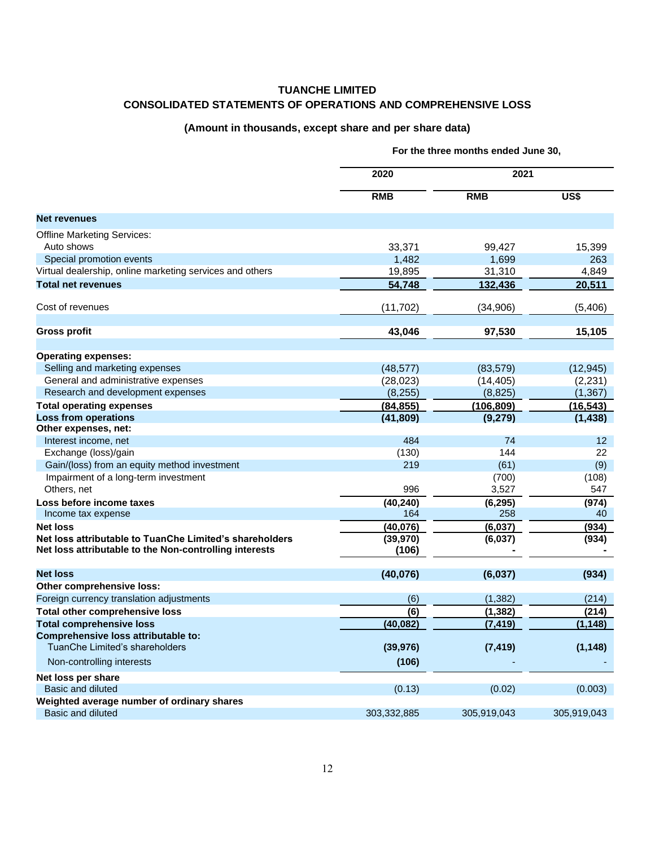# **TUANCHE LIMITED CONSOLIDATED STATEMENTS OF OPERATIONS AND COMPREHENSIVE LOSS**

|                                                                                                                   | For the three months ended June 30, |             |                |
|-------------------------------------------------------------------------------------------------------------------|-------------------------------------|-------------|----------------|
|                                                                                                                   | 2020                                | 2021        |                |
|                                                                                                                   | <b>RMB</b>                          | <b>RMB</b>  | US\$           |
| <b>Net revenues</b>                                                                                               |                                     |             |                |
| <b>Offline Marketing Services:</b>                                                                                |                                     |             |                |
| Auto shows                                                                                                        | 33,371                              | 99,427      | 15,399         |
| Special promotion events                                                                                          | 1,482                               | 1,699       | 263            |
| Virtual dealership, online marketing services and others                                                          | 19,895                              | 31,310      | 4,849          |
| <b>Total net revenues</b>                                                                                         | 54,748                              | 132,436     | 20,511         |
| Cost of revenues                                                                                                  | (11, 702)                           | (34,906)    | (5,406)        |
| <b>Gross profit</b>                                                                                               | 43,046                              | 97,530      | 15,105         |
|                                                                                                                   |                                     |             |                |
| <b>Operating expenses:</b>                                                                                        |                                     |             |                |
| Selling and marketing expenses                                                                                    | (48, 577)                           | (83, 579)   | (12, 945)      |
| General and administrative expenses                                                                               | (28, 023)                           | (14, 405)   | (2, 231)       |
| Research and development expenses                                                                                 | (8, 255)                            | (8, 825)    | (1, 367)       |
| <b>Total operating expenses</b>                                                                                   | (84, 855)                           | (106, 809)  | (16, 543)      |
| <b>Loss from operations</b>                                                                                       | (41, 809)                           | (9,279)     | (1, 438)       |
| Other expenses, net:                                                                                              |                                     |             |                |
| Interest income, net                                                                                              | 484                                 | 74          | 12             |
| Exchange (loss)/gain                                                                                              | (130)                               | 144         | 22             |
| Gain/(loss) from an equity method investment                                                                      | 219                                 | (61)        | (9)            |
| Impairment of a long-term investment                                                                              |                                     | (700)       | (108)          |
| Others, net                                                                                                       | 996                                 | 3,527       | 547            |
| Loss before income taxes                                                                                          | (40, 240)                           | (6, 295)    | (974)          |
| Income tax expense                                                                                                | 164                                 | 258         | 40             |
| <b>Net loss</b>                                                                                                   | (40, 076)                           | (6, 037)    | (934)          |
| Net loss attributable to TuanChe Limited's shareholders<br>Net loss attributable to the Non-controlling interests | (39, 970)<br>(106)                  | (6,037)     | (934)          |
|                                                                                                                   |                                     |             |                |
| <b>Net loss</b>                                                                                                   | (40, 076)                           | (6,037)     | (934)          |
| Other comprehensive loss:                                                                                         |                                     |             |                |
| Foreign currency translation adjustments                                                                          | (6)                                 | (1, 382)    | (214)          |
| Total other comprehensive loss                                                                                    | (6)                                 | (1, 382)    | (214)          |
| Total comprehensive loss                                                                                          | (40, 082)                           | (7, 419)    | <u>(1,148)</u> |
| Comprehensive loss attributable to:                                                                               |                                     |             |                |
| TuanChe Limited's shareholders                                                                                    | (39, 976)                           | (7, 419)    | (1, 148)       |
| Non-controlling interests                                                                                         | (106)                               |             |                |
| Net loss per share                                                                                                |                                     |             |                |
| Basic and diluted                                                                                                 | (0.13)                              | (0.02)      | (0.003)        |
| Weighted average number of ordinary shares                                                                        |                                     |             |                |
| <b>Basic and diluted</b>                                                                                          | 303,332,885                         | 305,919,043 | 305,919,043    |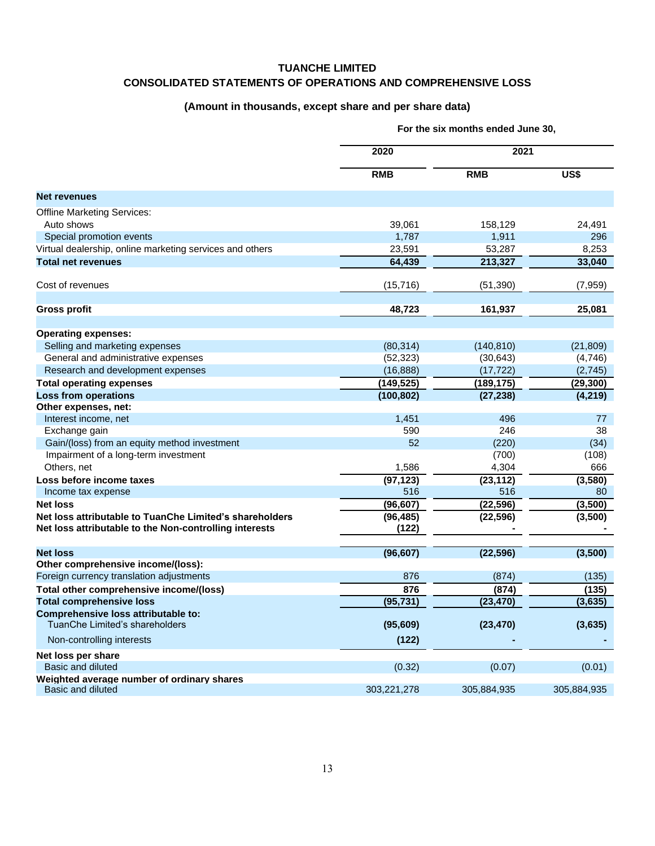## **TUANCHE LIMITED CONSOLIDATED STATEMENTS OF OPERATIONS AND COMPREHENSIVE LOSS**

|                                                          | 2020<br><b>RMB</b> | 2021        |             |
|----------------------------------------------------------|--------------------|-------------|-------------|
|                                                          |                    | <b>RMB</b>  | US\$        |
| <b>Net revenues</b>                                      |                    |             |             |
| <b>Offline Marketing Services:</b>                       |                    |             |             |
| Auto shows                                               | 39,061             | 158,129     | 24,491      |
| Special promotion events                                 | 1,787              | 1,911       | 296         |
| Virtual dealership, online marketing services and others | 23,591             | 53,287      | 8,253       |
| <b>Total net revenues</b>                                | 64,439             | 213,327     | 33,040      |
| Cost of revenues                                         | (15, 716)          | (51, 390)   | (7, 959)    |
| <b>Gross profit</b>                                      | 48,723             | 161,937     | 25,081      |
|                                                          |                    |             |             |
| <b>Operating expenses:</b>                               |                    |             |             |
| Selling and marketing expenses                           | (80, 314)          | (140, 810)  | (21, 809)   |
| General and administrative expenses                      | (52, 323)          | (30, 643)   | (4,746)     |
| Research and development expenses                        | (16, 888)          | (17, 722)   | (2,745)     |
| <b>Total operating expenses</b>                          | (149, 525)         | (189, 175)  | (29, 300)   |
| <b>Loss from operations</b>                              | (100, 802)         | (27, 238)   | (4,219)     |
| Other expenses, net:                                     |                    |             |             |
| Interest income, net                                     | 1,451              | 496         | 77          |
| Exchange gain                                            | 590                | 246         | 38          |
| Gain/(loss) from an equity method investment             | 52                 | (220)       | (34)        |
| Impairment of a long-term investment                     |                    | (700)       | (108)       |
| Others, net                                              | 1,586              | 4,304       | 666         |
| Loss before income taxes                                 | (97, 123)          | (23, 112)   | (3,580)     |
| Income tax expense                                       | 516                | 516         | 80          |
| <b>Net loss</b>                                          | (96, 607)          | (22, 596)   | (3,500)     |
| Net loss attributable to TuanChe Limited's shareholders  | (96, 485)          | (22, 596)   | (3,500)     |
| Net loss attributable to the Non-controlling interests   | (122)              |             |             |
| <b>Net loss</b>                                          | (96, 607)          | (22, 596)   | (3,500)     |
| Other comprehensive income/(loss):                       |                    |             |             |
| Foreign currency translation adjustments                 | 876                | (874)       | (135)       |
| Total other comprehensive income/(loss)                  | 876                | (874)       | (135)       |
| <b>Total comprehensive loss</b>                          | (95, 731)          | (23, 470)   | (3,635)     |
| Comprehensive loss attributable to:                      |                    |             |             |
| TuanChe Limited's shareholders                           | (95, 609)          | (23, 470)   | (3,635)     |
| Non-controlling interests                                | (122)              |             |             |
| Net loss per share                                       |                    |             |             |
| Basic and diluted                                        | (0.32)             | (0.07)      | (0.01)      |
| Weighted average number of ordinary shares               |                    |             |             |
| Basic and diluted                                        | 303,221,278        | 305,884,935 | 305,884,935 |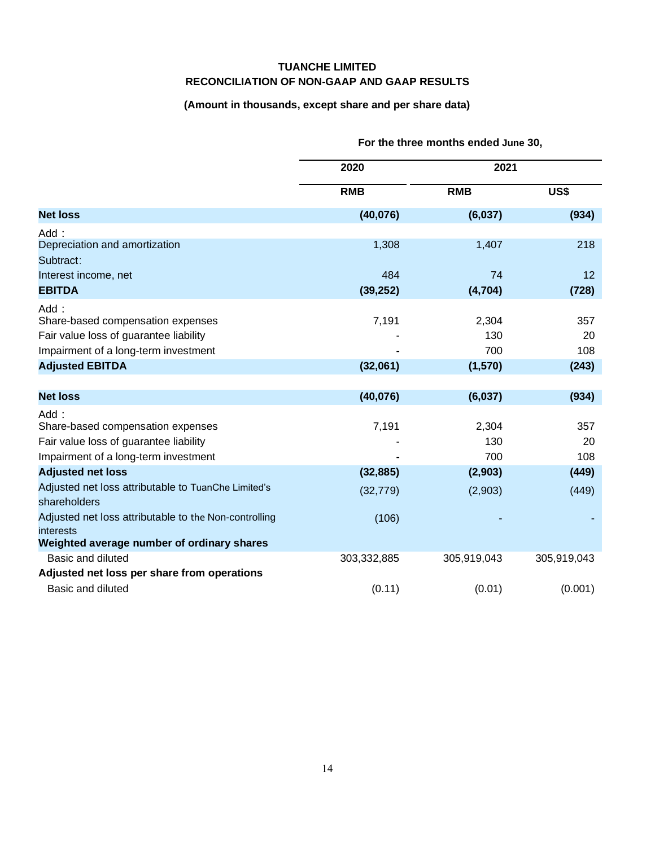## **TUANCHE LIMITED RECONCILIATION OF NON-GAAP AND GAAP RESULTS**

|                                                       | $\overline{1}$ or the three months ended June 30, |             |             |
|-------------------------------------------------------|---------------------------------------------------|-------------|-------------|
|                                                       | 2020                                              | 2021        |             |
|                                                       | <b>RMB</b>                                        | <b>RMB</b>  | <b>US\$</b> |
| <b>Net loss</b>                                       | (40,076)                                          | (6,037)     | (934)       |
| Add:                                                  |                                                   |             |             |
| Depreciation and amortization                         | 1,308                                             | 1,407       | 218         |
| Subtract:                                             |                                                   |             |             |
| Interest income, net                                  | 484                                               | 74          | 12          |
| <b>EBITDA</b>                                         | (39, 252)                                         | (4, 704)    | (728)       |
| Add:                                                  |                                                   |             |             |
| Share-based compensation expenses                     | 7,191                                             | 2,304       | 357         |
| Fair value loss of guarantee liability                |                                                   | 130         | 20          |
| Impairment of a long-term investment                  |                                                   | 700         | 108         |
| <b>Adjusted EBITDA</b>                                | (32,061)                                          | (1,570)     | (243)       |
|                                                       |                                                   |             |             |
| <b>Net loss</b>                                       | (40,076)                                          | (6,037)     | (934)       |
| Add:                                                  |                                                   |             |             |
| Share-based compensation expenses                     | 7,191                                             | 2,304       | 357         |
| Fair value loss of guarantee liability                |                                                   | 130         | 20          |
| Impairment of a long-term investment                  |                                                   | 700         | 108         |
| <b>Adjusted net loss</b>                              | (32, 885)                                         | (2,903)     | (449)       |
| Adjusted net loss attributable to TuanChe Limited's   | (32, 779)                                         | (2,903)     | (449)       |
| shareholders                                          |                                                   |             |             |
| Adjusted net loss attributable to the Non-controlling | (106)                                             |             |             |
| interests                                             |                                                   |             |             |
| Weighted average number of ordinary shares            |                                                   |             |             |
| Basic and diluted                                     | 303,332,885                                       | 305,919,043 | 305,919,043 |
| Adjusted net loss per share from operations           |                                                   |             |             |
| Basic and diluted                                     | (0.11)                                            | (0.01)      | (0.001)     |